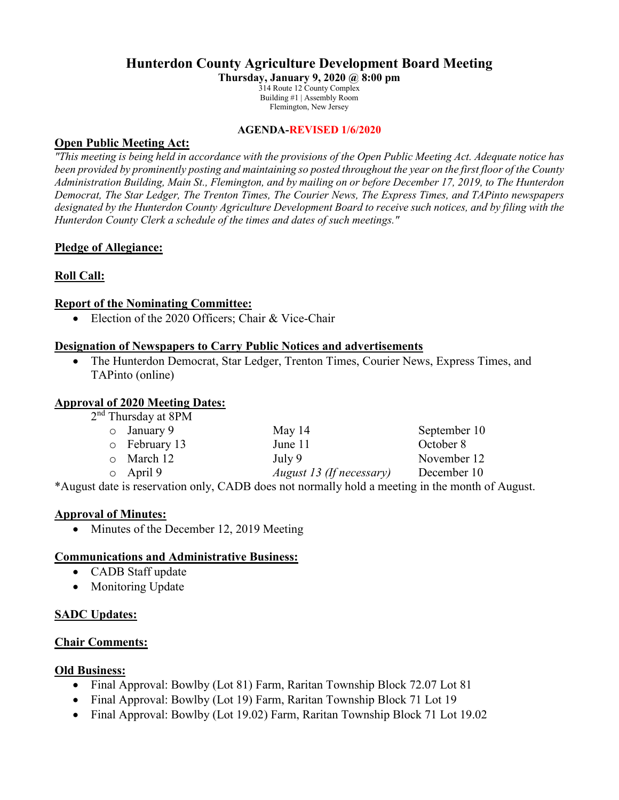# **Hunterdon County Agriculture Development Board Meeting**

**Thursday, January 9, 2020 @ 8:00 pm** 314 Route 12 County Complex Building #1 | Assembly Room Flemington, New Jersey

#### **AGENDA-REVISED 1/6/2020**

## **Open Public Meeting Act:**

*"This meeting is being held in accordance with the provisions of the Open Public Meeting Act. Adequate notice has been provided by prominently posting and maintaining so posted throughout the year on the first floor of the County Administration Building, Main St., Flemington, and by mailing on or before December 17, 2019, to The Hunterdon Democrat, The Star Ledger, The Trenton Times, The Courier News, The Express Times, and TAPinto newspapers designated by the Hunterdon County Agriculture Development Board to receive such notices, and by filing with the Hunterdon County Clerk a schedule of the times and dates of such meetings."*

## **Pledge of Allegiance:**

## **Roll Call:**

### **Report of the Nominating Committee:**

• Election of the 2020 Officers; Chair & Vice-Chair

### **Designation of Newspapers to Carry Public Notices and advertisements**

• The Hunterdon Democrat, Star Ledger, Trenton Times, Courier News, Express Times, and TAPinto (online)

## **Approval of 2020 Meeting Dates:**

| 2 <sup>nd</sup> Thursday at 8PM |                                                                                                                                      |                                                                                                       |              |
|---------------------------------|--------------------------------------------------------------------------------------------------------------------------------------|-------------------------------------------------------------------------------------------------------|--------------|
|                                 | $\circ$ January 9                                                                                                                    | May $14$                                                                                              | September 10 |
|                                 | $\circ$ February 13                                                                                                                  | June 11                                                                                               | October 8    |
|                                 | $\circ$ March 12                                                                                                                     | July 9                                                                                                | November 12  |
|                                 | $\circ$ April 9                                                                                                                      | August 13 (If necessary)                                                                              | December 10  |
|                                 | $\mathbf{r} = \mathbf{r} + \mathbf{r}$ , where $\mathbf{r} = \mathbf{r} + \mathbf{r}$ , where $\mathbf{r} = \mathbf{r} + \mathbf{r}$ | $C_{1}$ and $1$ 1 1 1 1 1 1 1 1 1 1 1 1 1 1 1 $1$ 1 $1$ 1 1 1 1 1 1 $1$ 1 $1$ 1 $1$ 1 $1$ 1 $1$ 1 $1$ |              |

\*August date is reservation only, CADB does not normally hold a meeting in the month of August.

#### **Approval of Minutes:**

• Minutes of the December 12, 2019 Meeting

#### **Communications and Administrative Business:**

- CADB Staff update
- Monitoring Update

## **SADC Updates:**

#### **Chair Comments:**

## **Old Business:**

- Final Approval: Bowlby (Lot 81) Farm, Raritan Township Block 72.07 Lot 81
- Final Approval: Bowlby (Lot 19) Farm, Raritan Township Block 71 Lot 19
- Final Approval: Bowlby (Lot 19.02) Farm, Raritan Township Block 71 Lot 19.02